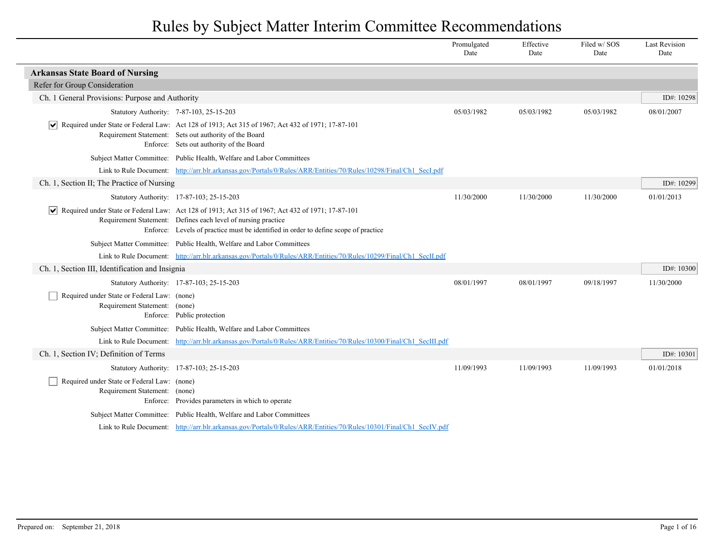|                                                                              |                                                                                                                                                                                                                                                           | Promulgated<br>Date | Effective<br>Date | Filed w/SOS<br>Date | <b>Last Revision</b><br>Date |
|------------------------------------------------------------------------------|-----------------------------------------------------------------------------------------------------------------------------------------------------------------------------------------------------------------------------------------------------------|---------------------|-------------------|---------------------|------------------------------|
| <b>Arkansas State Board of Nursing</b>                                       |                                                                                                                                                                                                                                                           |                     |                   |                     |                              |
| Refer for Group Consideration                                                |                                                                                                                                                                                                                                                           |                     |                   |                     |                              |
| Ch. 1 General Provisions: Purpose and Authority                              |                                                                                                                                                                                                                                                           |                     |                   |                     | ID#: 10298                   |
|                                                                              | Statutory Authority: 7-87-103, 25-15-203                                                                                                                                                                                                                  | 05/03/1982          | 05/03/1982        | 05/03/1982          | 08/01/2007                   |
|                                                                              | $\blacktriangleright$ Required under State or Federal Law: Act 128 of 1913; Act 315 of 1967; Act 432 of 1971; 17-87-101<br>Requirement Statement: Sets out authority of the Board<br>Enforce: Sets out authority of the Board                             |                     |                   |                     |                              |
|                                                                              | Subject Matter Committee: Public Health, Welfare and Labor Committees                                                                                                                                                                                     |                     |                   |                     |                              |
|                                                                              | Link to Rule Document: http://arr.blr.arkansas.gov/Portals/0/Rules/ARR/Entities/70/Rules/10298/Final/Ch1 SecI.pdf                                                                                                                                         |                     |                   |                     |                              |
| Ch. 1, Section II; The Practice of Nursing                                   |                                                                                                                                                                                                                                                           |                     |                   |                     | ID#: 10299                   |
|                                                                              | Statutory Authority: 17-87-103; 25-15-203                                                                                                                                                                                                                 | 11/30/2000          | 11/30/2000        | 11/30/2000          | 01/01/2013                   |
|                                                                              | Required under State or Federal Law: Act 128 of 1913; Act 315 of 1967; Act 432 of 1971; 17-87-101<br>Requirement Statement: Defines each level of nursing practice<br>Enforce: Levels of practice must be identified in order to define scope of practice |                     |                   |                     |                              |
|                                                                              | Subject Matter Committee: Public Health, Welfare and Labor Committees                                                                                                                                                                                     |                     |                   |                     |                              |
|                                                                              | Link to Rule Document: http://arr.blr.arkansas.gov/Portals/0/Rules/ARR/Entities/70/Rules/10299/Final/Ch1 SecILpdf                                                                                                                                         |                     |                   |                     |                              |
| Ch. 1, Section III, Identification and Insignia                              |                                                                                                                                                                                                                                                           |                     |                   |                     | ID#: 10300                   |
|                                                                              | Statutory Authority: 17-87-103; 25-15-203                                                                                                                                                                                                                 | 08/01/1997          | 08/01/1997        | 09/18/1997          | 11/30/2000                   |
| Required under State or Federal Law: (none)<br>Requirement Statement: (none) | Enforce: Public protection                                                                                                                                                                                                                                |                     |                   |                     |                              |
|                                                                              | Subject Matter Committee: Public Health, Welfare and Labor Committees                                                                                                                                                                                     |                     |                   |                     |                              |
|                                                                              | Link to Rule Document: http://arr.blr.arkansas.gov/Portals/0/Rules/ARR/Entities/70/Rules/10300/Final/Ch1 SecIII.pdf                                                                                                                                       |                     |                   |                     |                              |
| Ch. 1, Section IV; Definition of Terms                                       |                                                                                                                                                                                                                                                           |                     |                   |                     | ID#: 10301                   |
|                                                                              | Statutory Authority: 17-87-103; 25-15-203                                                                                                                                                                                                                 | 11/09/1993          | 11/09/1993        | 11/09/1993          | 01/01/2018                   |
| Required under State or Federal Law: (none)<br>Requirement Statement: (none) | Enforce: Provides parameters in which to operate                                                                                                                                                                                                          |                     |                   |                     |                              |
|                                                                              | Subject Matter Committee: Public Health, Welfare and Labor Committees                                                                                                                                                                                     |                     |                   |                     |                              |
|                                                                              | Link to Rule Document: http://arr.blr.arkansas.gov/Portals/0/Rules/ARR/Entities/70/Rules/10301/Final/Ch1 SecIV.pdf                                                                                                                                        |                     |                   |                     |                              |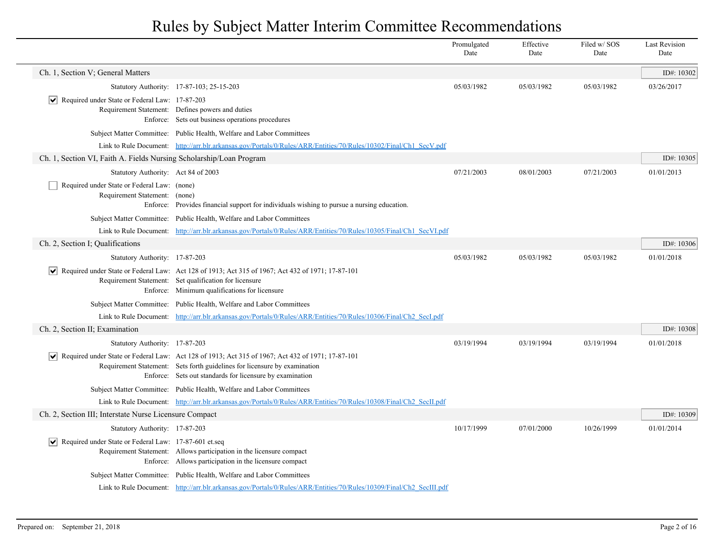|                                                                              |                                                                                                                                                                                                                                                                  | Promulgated<br>Date | Effective<br>Date | Filed w/SOS<br>Date | <b>Last Revision</b><br>Date |
|------------------------------------------------------------------------------|------------------------------------------------------------------------------------------------------------------------------------------------------------------------------------------------------------------------------------------------------------------|---------------------|-------------------|---------------------|------------------------------|
| Ch. 1, Section V; General Matters                                            |                                                                                                                                                                                                                                                                  |                     |                   |                     | ID#: 10302                   |
|                                                                              | Statutory Authority: 17-87-103; 25-15-203                                                                                                                                                                                                                        | 05/03/1982          | 05/03/1982        | 05/03/1982          | 03/26/2017                   |
| $ \mathbf{v} $ Required under State or Federal Law: 17-87-203                | Requirement Statement: Defines powers and duties<br>Enforce: Sets out business operations procedures                                                                                                                                                             |                     |                   |                     |                              |
|                                                                              | Subject Matter Committee: Public Health, Welfare and Labor Committees                                                                                                                                                                                            |                     |                   |                     |                              |
|                                                                              | Link to Rule Document: http://arr.blr.arkansas.gov/Portals/0/Rules/ARR/Entities/70/Rules/10302/Final/Ch1 SecV.pdf                                                                                                                                                |                     |                   |                     |                              |
| Ch. 1, Section VI, Faith A. Fields Nursing Scholarship/Loan Program          |                                                                                                                                                                                                                                                                  |                     |                   |                     | ID#: 10305                   |
| Statutory Authority: Act 84 of 2003                                          |                                                                                                                                                                                                                                                                  | 07/21/2003          | 08/01/2003        | 07/21/2003          | 01/01/2013                   |
| Required under State or Federal Law: (none)<br>Requirement Statement: (none) | Enforce: Provides financial support for individuals wishing to pursue a nursing education.                                                                                                                                                                       |                     |                   |                     |                              |
|                                                                              | Subject Matter Committee: Public Health, Welfare and Labor Committees                                                                                                                                                                                            |                     |                   |                     |                              |
|                                                                              | Link to Rule Document: http://arr.blr.arkansas.gov/Portals/0/Rules/ARR/Entities/70/Rules/10305/Final/Ch1 SecVLpdf                                                                                                                                                |                     |                   |                     |                              |
| Ch. 2, Section I: Qualifications                                             |                                                                                                                                                                                                                                                                  |                     |                   |                     | ID#: 10306                   |
| Statutory Authority: 17-87-203                                               |                                                                                                                                                                                                                                                                  | 05/03/1982          | 05/03/1982        | 05/03/1982          | 01/01/2018                   |
|                                                                              | Required under State or Federal Law: Act 128 of 1913; Act 315 of 1967; Act 432 of 1971; 17-87-101<br>Requirement Statement: Set qualification for licensure<br>Enforce: Minimum qualifications for licensure                                                     |                     |                   |                     |                              |
|                                                                              | Subject Matter Committee: Public Health, Welfare and Labor Committees                                                                                                                                                                                            |                     |                   |                     |                              |
|                                                                              | Link to Rule Document: http://arr.blr.arkansas.gov/Portals/0/Rules/ARR/Entities/70/Rules/10306/Final/Ch2 SecI.pdf                                                                                                                                                |                     |                   |                     |                              |
| Ch. 2, Section II; Examination                                               |                                                                                                                                                                                                                                                                  |                     |                   |                     | ID#: 10308                   |
| Statutory Authority: 17-87-203                                               |                                                                                                                                                                                                                                                                  | 03/19/1994          | 03/19/1994        | 03/19/1994          | 01/01/2018                   |
|                                                                              | $\blacktriangleright$ Required under State or Federal Law: Act 128 of 1913; Act 315 of 1967; Act 432 of 1971; 17-87-101<br>Requirement Statement: Sets forth guidelines for licensure by examination<br>Enforce: Sets out standards for licensure by examination |                     |                   |                     |                              |
|                                                                              | Subject Matter Committee: Public Health, Welfare and Labor Committees                                                                                                                                                                                            |                     |                   |                     |                              |
|                                                                              | Link to Rule Document: http://arr.blr.arkansas.gov/Portals/0/Rules/ARR/Entities/70/Rules/10308/Final/Ch2 SecILpdf                                                                                                                                                |                     |                   |                     |                              |
| Ch. 2, Section III; Interstate Nurse Licensure Compact                       |                                                                                                                                                                                                                                                                  |                     |                   |                     | ID#: 10309                   |
| Statutory Authority: 17-87-203                                               |                                                                                                                                                                                                                                                                  | 10/17/1999          | 07/01/2000        | 10/26/1999          | 01/01/2014                   |
| $\triangledown$ Required under State or Federal Law: 17-87-601 et.seq        | Requirement Statement: Allows participation in the licensure compact<br>Enforce: Allows participation in the licensure compact                                                                                                                                   |                     |                   |                     |                              |
|                                                                              | Subject Matter Committee: Public Health, Welfare and Labor Committees                                                                                                                                                                                            |                     |                   |                     |                              |
|                                                                              | Link to Rule Document: http://arr.blr.arkansas.gov/Portals/0/Rules/ARR/Entities/70/Rules/10309/Final/Ch2 SecIII.pdf                                                                                                                                              |                     |                   |                     |                              |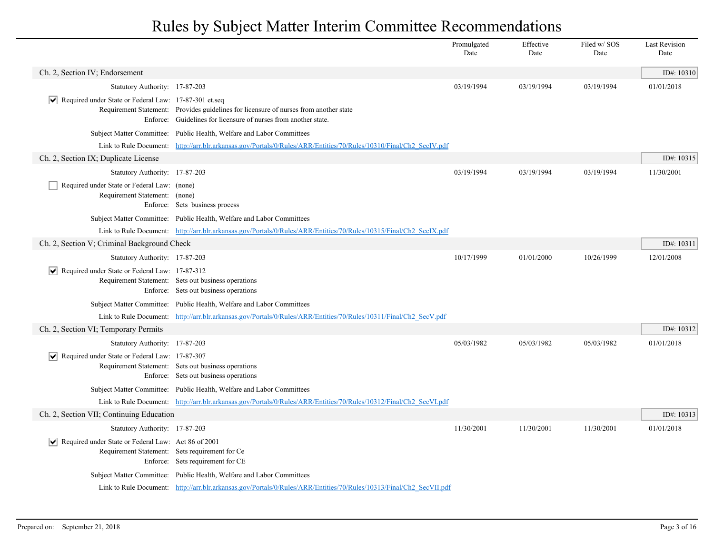|                                                                              |                                                                                                                                                          | Promulgated<br>Date | Effective<br>Date | Filed w/SOS<br>Date | <b>Last Revision</b><br>Date |
|------------------------------------------------------------------------------|----------------------------------------------------------------------------------------------------------------------------------------------------------|---------------------|-------------------|---------------------|------------------------------|
| Ch. 2, Section IV; Endorsement                                               |                                                                                                                                                          |                     |                   |                     | ID#: $10310$                 |
| Statutory Authority: 17-87-203                                               |                                                                                                                                                          | 03/19/1994          | 03/19/1994        | 03/19/1994          | 01/01/2018                   |
| $ \mathbf{v} $ Required under State or Federal Law: 17-87-301 et.seq         | Requirement Statement: Provides guidelines for licensure of nurses from another state<br>Enforce: Guidelines for licensure of nurses from another state. |                     |                   |                     |                              |
|                                                                              | Subject Matter Committee: Public Health, Welfare and Labor Committees                                                                                    |                     |                   |                     |                              |
|                                                                              | Link to Rule Document: http://arr.blr.arkansas.gov/Portals/0/Rules/ARR/Entities/70/Rules/10310/Final/Ch2_SecIV.pdf                                       |                     |                   |                     |                              |
| Ch. 2, Section IX; Duplicate License                                         |                                                                                                                                                          |                     |                   |                     | ID#: 10315                   |
| Statutory Authority: 17-87-203                                               |                                                                                                                                                          | 03/19/1994          | 03/19/1994        | 03/19/1994          | 11/30/2001                   |
| Required under State or Federal Law: (none)<br>Requirement Statement: (none) | Enforce: Sets business process                                                                                                                           |                     |                   |                     |                              |
|                                                                              | Subject Matter Committee: Public Health, Welfare and Labor Committees                                                                                    |                     |                   |                     |                              |
|                                                                              | Link to Rule Document: http://arr.blr.arkansas.gov/Portals/0/Rules/ARR/Entities/70/Rules/10315/Final/Ch2 SecIX.pdf                                       |                     |                   |                     |                              |
| Ch. 2, Section V; Criminal Background Check                                  |                                                                                                                                                          |                     |                   |                     | ID#: 10311                   |
| Statutory Authority: 17-87-203                                               |                                                                                                                                                          | 10/17/1999          | 01/01/2000        | 10/26/1999          | 12/01/2008                   |
| $ \overline{\smile} $ Required under State or Federal Law: 17-87-312         | Requirement Statement: Sets out business operations<br>Enforce: Sets out business operations                                                             |                     |                   |                     |                              |
|                                                                              | Subject Matter Committee: Public Health, Welfare and Labor Committees                                                                                    |                     |                   |                     |                              |
|                                                                              | Link to Rule Document: http://arr.blr.arkansas.gov/Portals/0/Rules/ARR/Entities/70/Rules/10311/Final/Ch2 SecV.pdf                                        |                     |                   |                     |                              |
| Ch. 2, Section VI; Temporary Permits                                         |                                                                                                                                                          |                     |                   |                     | ID#: 10312                   |
| Statutory Authority: 17-87-203                                               |                                                                                                                                                          | 05/03/1982          | 05/03/1982        | 05/03/1982          | 01/01/2018                   |
| $\boxed{\blacktriangledown}$ Required under State or Federal Law: 17-87-307  | Requirement Statement: Sets out business operations<br>Enforce: Sets out business operations                                                             |                     |                   |                     |                              |
|                                                                              | Subject Matter Committee: Public Health, Welfare and Labor Committees                                                                                    |                     |                   |                     |                              |
|                                                                              | Link to Rule Document: http://arr.blr.arkansas.gov/Portals/0/Rules/ARR/Entities/70/Rules/10312/Final/Ch2 SecVLpdf                                        |                     |                   |                     |                              |
| Ch. 2, Section VII; Continuing Education                                     |                                                                                                                                                          |                     |                   |                     | ID#: 10313                   |
| Statutory Authority: 17-87-203                                               |                                                                                                                                                          | 11/30/2001          | 11/30/2001        | 11/30/2001          | 01/01/2018                   |
| Required under State or Federal Law: Act 86 of 2001                          | Requirement Statement: Sets requirement for Ce<br>Enforce: Sets requirement for CE                                                                       |                     |                   |                     |                              |
|                                                                              | Subject Matter Committee: Public Health, Welfare and Labor Committees                                                                                    |                     |                   |                     |                              |
|                                                                              | Link to Rule Document: http://arr.blr.arkansas.gov/Portals/0/Rules/ARR/Entities/70/Rules/10313/Final/Ch2 SecVII.pdf                                      |                     |                   |                     |                              |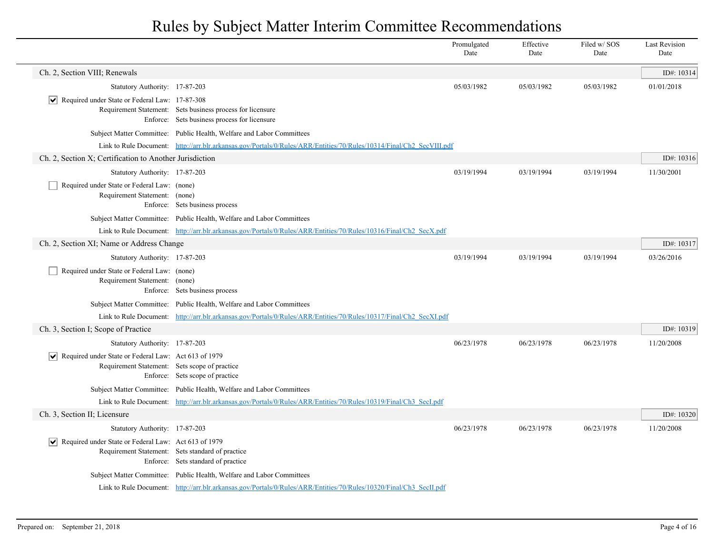|                                                                                                                       |                                                                                                                      | Promulgated<br>Date | Effective<br>Date | Filed w/SOS<br>Date | <b>Last Revision</b><br>Date |
|-----------------------------------------------------------------------------------------------------------------------|----------------------------------------------------------------------------------------------------------------------|---------------------|-------------------|---------------------|------------------------------|
| Ch. 2, Section VIII; Renewals                                                                                         |                                                                                                                      |                     |                   |                     | ID#: 10314                   |
| Statutory Authority: 17-87-203                                                                                        |                                                                                                                      | 05/03/1982          | 05/03/1982        | 05/03/1982          | 01/01/2018                   |
| $ \mathbf{v} $ Required under State or Federal Law: 17-87-308                                                         | Requirement Statement: Sets business process for licensure<br>Enforce: Sets business process for licensure           |                     |                   |                     |                              |
|                                                                                                                       | Subject Matter Committee: Public Health, Welfare and Labor Committees                                                |                     |                   |                     |                              |
|                                                                                                                       | Link to Rule Document: http://arr.blr.arkansas.gov/Portals/0/Rules/ARR/Entities/70/Rules/10314/Final/Ch2 SecVIII.pdf |                     |                   |                     |                              |
| Ch. 2, Section X; Certification to Another Jurisdiction                                                               |                                                                                                                      |                     |                   |                     | ID#: 10316                   |
| Statutory Authority: 17-87-203                                                                                        |                                                                                                                      | 03/19/1994          | 03/19/1994        | 03/19/1994          | 11/30/2001                   |
| Required under State or Federal Law: (none)<br>Requirement Statement: (none)                                          | Enforce: Sets business process                                                                                       |                     |                   |                     |                              |
|                                                                                                                       | Subject Matter Committee: Public Health, Welfare and Labor Committees                                                |                     |                   |                     |                              |
|                                                                                                                       | Link to Rule Document: http://arr.blr.arkansas.gov/Portals/0/Rules/ARR/Entities/70/Rules/10316/Final/Ch2 SecX.pdf    |                     |                   |                     |                              |
| Ch. 2, Section XI; Name or Address Change                                                                             |                                                                                                                      |                     |                   |                     | ID#: 10317                   |
| Statutory Authority: 17-87-203                                                                                        |                                                                                                                      | 03/19/1994          | 03/19/1994        | 03/19/1994          | 03/26/2016                   |
| Required under State or Federal Law: (none)<br>Requirement Statement: (none)                                          | Enforce: Sets business process                                                                                       |                     |                   |                     |                              |
|                                                                                                                       | Subject Matter Committee: Public Health, Welfare and Labor Committees                                                |                     |                   |                     |                              |
|                                                                                                                       | Link to Rule Document: http://arr.blr.arkansas.gov/Portals/0/Rules/ARR/Entities/70/Rules/10317/Final/Ch2 SecXLpdf    |                     |                   |                     |                              |
| Ch. 3, Section I; Scope of Practice                                                                                   |                                                                                                                      |                     |                   |                     | ID#: 10319                   |
| Statutory Authority: 17-87-203                                                                                        |                                                                                                                      | 06/23/1978          | 06/23/1978        | 06/23/1978          | 11/20/2008                   |
| $\triangledown$ Required under State or Federal Law: Act 613 of 1979<br>Requirement Statement: Sets scope of practice | Enforce: Sets scope of practice                                                                                      |                     |                   |                     |                              |
|                                                                                                                       | Subject Matter Committee: Public Health, Welfare and Labor Committees                                                |                     |                   |                     |                              |
|                                                                                                                       | Link to Rule Document: http://arr.blr.arkansas.gov/Portals/0/Rules/ARR/Entities/70/Rules/10319/Final/Ch3 SecI.pdf    |                     |                   |                     |                              |
| Ch. 3, Section II; Licensure                                                                                          |                                                                                                                      |                     |                   |                     | ID#: 10320                   |
| Statutory Authority: 17-87-203                                                                                        |                                                                                                                      | 06/23/1978          | 06/23/1978        | 06/23/1978          | 11/20/2008                   |
| $\triangleright$ Required under State or Federal Law: Act 613 of 1979                                                 | Requirement Statement: Sets standard of practice<br>Enforce: Sets standard of practice                               |                     |                   |                     |                              |
|                                                                                                                       | Subject Matter Committee: Public Health, Welfare and Labor Committees                                                |                     |                   |                     |                              |
|                                                                                                                       | Link to Rule Document: http://arr.blr.arkansas.gov/Portals/0/Rules/ARR/Entities/70/Rules/10320/Final/Ch3 SecIL.pdf   |                     |                   |                     |                              |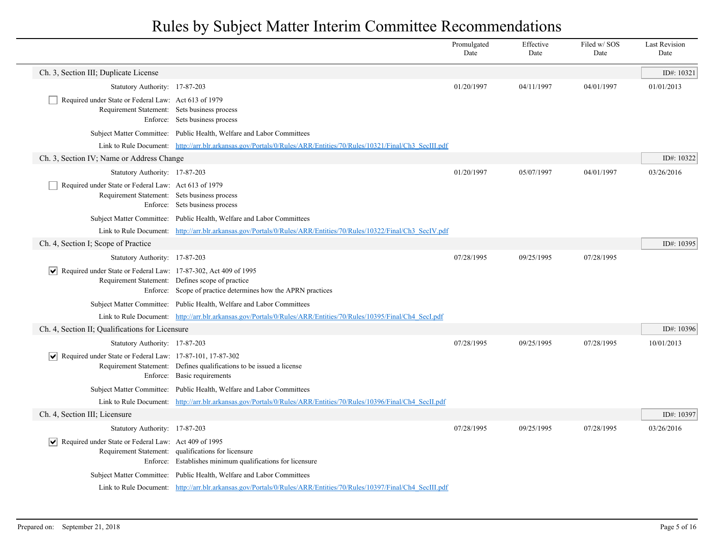|                                                                                                      |                                                                                                                     | Promulgated<br>Date | Effective<br>Date | Filed w/SOS<br>Date | <b>Last Revision</b><br>Date |
|------------------------------------------------------------------------------------------------------|---------------------------------------------------------------------------------------------------------------------|---------------------|-------------------|---------------------|------------------------------|
| Ch. 3, Section III; Duplicate License                                                                |                                                                                                                     |                     |                   |                     | ID#: $10321$                 |
| Statutory Authority: 17-87-203                                                                       |                                                                                                                     | 01/20/1997          | 04/11/1997        | 04/01/1997          | 01/01/2013                   |
| Required under State or Federal Law: Act 613 of 1979<br>Requirement Statement: Sets business process | Enforce: Sets business process                                                                                      |                     |                   |                     |                              |
|                                                                                                      | Subject Matter Committee: Public Health, Welfare and Labor Committees                                               |                     |                   |                     |                              |
|                                                                                                      | Link to Rule Document: http://arr.blr.arkansas.gov/Portals/0/Rules/ARR/Entities/70/Rules/10321/Final/Ch3 SecIII.pdf |                     |                   |                     |                              |
| Ch. 3, Section IV; Name or Address Change                                                            |                                                                                                                     |                     |                   |                     | ID#: 10322                   |
| Statutory Authority: 17-87-203                                                                       |                                                                                                                     | 01/20/1997          | 05/07/1997        | 04/01/1997          | 03/26/2016                   |
| Required under State or Federal Law: Act 613 of 1979<br>Requirement Statement: Sets business process | Enforce: Sets business process                                                                                      |                     |                   |                     |                              |
|                                                                                                      | Subject Matter Committee: Public Health, Welfare and Labor Committees                                               |                     |                   |                     |                              |
|                                                                                                      | Link to Rule Document: http://arr.blr.arkansas.gov/Portals/0/Rules/ARR/Entities/70/Rules/10322/Final/Ch3 SecIV.pdf  |                     |                   |                     |                              |
| Ch. 4, Section I; Scope of Practice                                                                  |                                                                                                                     |                     |                   |                     | ID#: 10395                   |
| Statutory Authority: 17-87-203                                                                       |                                                                                                                     | 07/28/1995          | 09/25/1995        | 07/28/1995          |                              |
| Required under State or Federal Law: 17-87-302, Act 409 of 1995                                      | Requirement Statement: Defines scope of practice<br>Enforce: Scope of practice determines how the APRN practices    |                     |                   |                     |                              |
|                                                                                                      | Subject Matter Committee: Public Health, Welfare and Labor Committees                                               |                     |                   |                     |                              |
|                                                                                                      | Link to Rule Document: http://arr.blr.arkansas.gov/Portals/0/Rules/ARR/Entities/70/Rules/10395/Final/Ch4 SecI.pdf   |                     |                   |                     |                              |
| Ch. 4, Section II; Qualifications for Licensure                                                      |                                                                                                                     |                     |                   |                     | ID#: 10396                   |
| Statutory Authority: 17-87-203                                                                       |                                                                                                                     | 07/28/1995          | 09/25/1995        | 07/28/1995          | 10/01/2013                   |
| $ \mathbf{v} $ Required under State or Federal Law: 17-87-101, 17-87-302                             | Requirement Statement: Defines qualifications to be issued a license<br>Enforce: Basic requirements                 |                     |                   |                     |                              |
|                                                                                                      | Subject Matter Committee: Public Health, Welfare and Labor Committees                                               |                     |                   |                     |                              |
|                                                                                                      | Link to Rule Document: http://arr.blr.arkansas.gov/Portals/0/Rules/ARR/Entities/70/Rules/10396/Final/Ch4 SecIL.pdf  |                     |                   |                     |                              |
| Ch. 4, Section III; Licensure                                                                        |                                                                                                                     |                     |                   |                     | ID#: 10397                   |
| Statutory Authority: 17-87-203                                                                       |                                                                                                                     | 07/28/1995          | 09/25/1995        | 07/28/1995          | 03/26/2016                   |
| Required under State or Federal Law: Act 409 of 1995                                                 | Requirement Statement: qualifications for licensure<br>Enforce: Establishes minimum qualifications for licensure    |                     |                   |                     |                              |
|                                                                                                      | Subject Matter Committee: Public Health, Welfare and Labor Committees                                               |                     |                   |                     |                              |
|                                                                                                      | Link to Rule Document: http://arr.blr.arkansas.gov/Portals/0/Rules/ARR/Entities/70/Rules/10397/Final/Ch4 SecIII.pdf |                     |                   |                     |                              |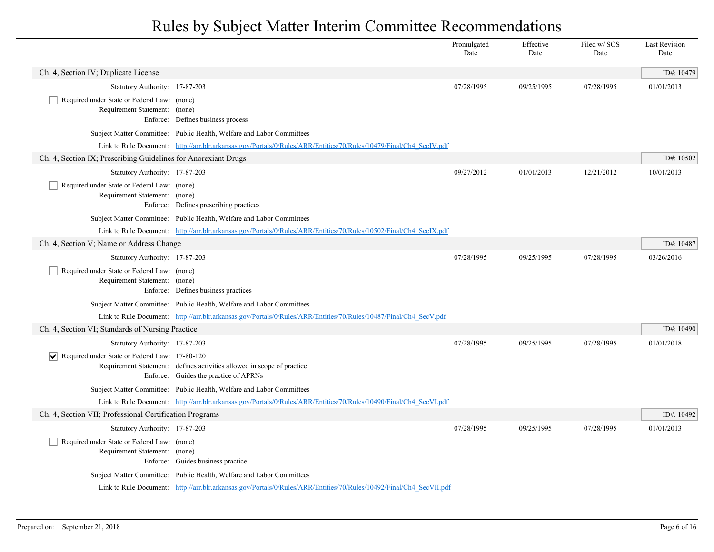|                                                                              |                                                                                                                     | Promulgated<br>Date | Effective<br>Date | Filed w/SOS<br>Date | <b>Last Revision</b><br>Date |
|------------------------------------------------------------------------------|---------------------------------------------------------------------------------------------------------------------|---------------------|-------------------|---------------------|------------------------------|
| Ch. 4, Section IV; Duplicate License                                         |                                                                                                                     |                     |                   |                     | ID#: 10479                   |
| Statutory Authority: 17-87-203                                               |                                                                                                                     | 07/28/1995          | 09/25/1995        | 07/28/1995          | 01/01/2013                   |
| Required under State or Federal Law: (none)<br>Requirement Statement: (none) | Enforce: Defines business process                                                                                   |                     |                   |                     |                              |
|                                                                              | Subject Matter Committee: Public Health, Welfare and Labor Committees                                               |                     |                   |                     |                              |
|                                                                              | Link to Rule Document: http://arr.blr.arkansas.gov/Portals/0/Rules/ARR/Entities/70/Rules/10479/Final/Ch4 SecIV.pdf  |                     |                   |                     |                              |
| Ch. 4, Section IX; Prescribing Guidelines for Anorexiant Drugs               |                                                                                                                     |                     |                   |                     | ID#: 10502                   |
| Statutory Authority: 17-87-203                                               |                                                                                                                     | 09/27/2012          | 01/01/2013        | 12/21/2012          | 10/01/2013                   |
| Required under State or Federal Law: (none)<br>Requirement Statement: (none) | Enforce: Defines prescribing practices                                                                              |                     |                   |                     |                              |
|                                                                              | Subject Matter Committee: Public Health, Welfare and Labor Committees                                               |                     |                   |                     |                              |
|                                                                              | Link to Rule Document: http://arr.blr.arkansas.gov/Portals/0/Rules/ARR/Entities/70/Rules/10502/Final/Ch4 SecIX.pdf  |                     |                   |                     |                              |
| Ch. 4, Section V; Name or Address Change                                     |                                                                                                                     |                     |                   |                     | ID#: 10487                   |
| Statutory Authority: 17-87-203                                               |                                                                                                                     | 07/28/1995          | 09/25/1995        | 07/28/1995          | 03/26/2016                   |
| Required under State or Federal Law: (none)<br>Requirement Statement: (none) | Enforce: Defines business practices                                                                                 |                     |                   |                     |                              |
|                                                                              | Subject Matter Committee: Public Health, Welfare and Labor Committees                                               |                     |                   |                     |                              |
|                                                                              | Link to Rule Document: http://arr.blr.arkansas.gov/Portals/0/Rules/ARR/Entities/70/Rules/10487/Final/Ch4 SecV.pdf   |                     |                   |                     |                              |
| Ch. 4, Section VI; Standards of Nursing Practice                             |                                                                                                                     |                     |                   |                     | ID#: 10490                   |
| Statutory Authority: 17-87-203                                               |                                                                                                                     | 07/28/1995          | 09/25/1995        | 07/28/1995          | 01/01/2018                   |
| $ \mathbf{v} $ Required under State or Federal Law: 17-80-120                | Requirement Statement: defines activities allowed in scope of practice<br>Enforce: Guides the practice of APRNs     |                     |                   |                     |                              |
|                                                                              | Subject Matter Committee: Public Health, Welfare and Labor Committees                                               |                     |                   |                     |                              |
|                                                                              | Link to Rule Document: http://arr.blr.arkansas.gov/Portals/0/Rules/ARR/Entities/70/Rules/10490/Final/Ch4_SecVI.pdf  |                     |                   |                     |                              |
| Ch. 4, Section VII; Professional Certification Programs                      |                                                                                                                     |                     |                   |                     | ID#: 10492                   |
| Statutory Authority: 17-87-203                                               |                                                                                                                     | 07/28/1995          | 09/25/1995        | 07/28/1995          | 01/01/2013                   |
| Required under State or Federal Law: (none)<br>Requirement Statement: (none) | Enforce: Guides business practice                                                                                   |                     |                   |                     |                              |
|                                                                              | Subject Matter Committee: Public Health, Welfare and Labor Committees                                               |                     |                   |                     |                              |
|                                                                              | Link to Rule Document: http://arr.blr.arkansas.gov/Portals/0/Rules/ARR/Entities/70/Rules/10492/Final/Ch4 SecVII.pdf |                     |                   |                     |                              |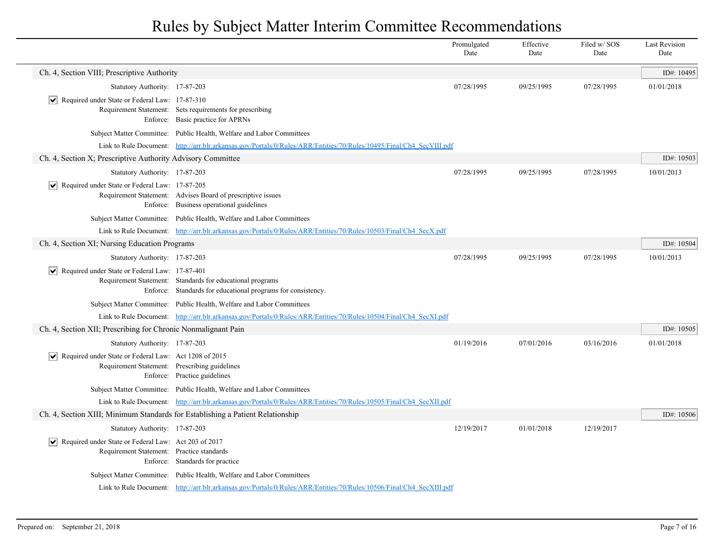|                                                                                                                      |                                                                                                                           | Promulgated<br>Date | Effective<br>Date | Filed w/SOS<br>Date | <b>Last Revision</b><br>Date |
|----------------------------------------------------------------------------------------------------------------------|---------------------------------------------------------------------------------------------------------------------------|---------------------|-------------------|---------------------|------------------------------|
| Ch. 4, Section VIII; Prescriptive Authority                                                                          |                                                                                                                           |                     |                   |                     | ID#: 10495                   |
| Statutory Authority: 17-87-203                                                                                       |                                                                                                                           | 07/28/1995          | 09/25/1995        | 07/28/1995          | 01/01/2018                   |
| $ \mathbf{v} $ Required under State or Federal Law: 17-87-310                                                        | Requirement Statement: Sets requirements for prescribing<br>Enforce: Basic practice for APRNs                             |                     |                   |                     |                              |
|                                                                                                                      | Subject Matter Committee: Public Health, Welfare and Labor Committees                                                     |                     |                   |                     |                              |
|                                                                                                                      | Link to Rule Document: http://arr.blr.arkansas.gov/Portals/0/Rules/ARR/Entities/70/Rules/10495/Final/Ch4 SecVIII.pdf      |                     |                   |                     |                              |
| Ch. 4, Section X; Prescriptive Authority Advisory Committee                                                          |                                                                                                                           |                     |                   |                     | ID#: 10503                   |
| Statutory Authority: 17-87-203                                                                                       |                                                                                                                           | 07/28/1995          | 09/25/1995        | 07/28/1995          | 10/01/2013                   |
| $ \mathbf{v} $ Required under State or Federal Law: 17-87-205                                                        | Requirement Statement: Advises Board of prescriptive issues<br>Enforce: Business operational guidelines                   |                     |                   |                     |                              |
|                                                                                                                      | Subject Matter Committee: Public Health, Welfare and Labor Committees                                                     |                     |                   |                     |                              |
|                                                                                                                      | Link to Rule Document: http://arr.blr.arkansas.gov/Portals/0/Rules/ARR/Entities/70/Rules/10503/Final/Ch4 SecX.pdf         |                     |                   |                     |                              |
| Ch. 4, Section XI; Nursing Education Programs                                                                        |                                                                                                                           |                     |                   |                     | ID#: 10504                   |
| Statutory Authority: 17-87-203                                                                                       |                                                                                                                           | 07/28/1995          | 09/25/1995        | 07/28/1995          | 10/01/2013                   |
| $ \mathbf{v} $ Required under State or Federal Law: 17-87-401                                                        | Requirement Statement: Standards for educational programs<br>Enforce: Standards for educational programs for consistency. |                     |                   |                     |                              |
|                                                                                                                      | Subject Matter Committee: Public Health, Welfare and Labor Committees                                                     |                     |                   |                     |                              |
|                                                                                                                      | Link to Rule Document: http://arr.blr.arkansas.gov/Portals/0/Rules/ARR/Entities/70/Rules/10504/Final/Ch4_SecXLpdf         |                     |                   |                     |                              |
| Ch. 4, Section XII; Prescribing for Chronic Nonmalignant Pain                                                        |                                                                                                                           |                     |                   |                     | ID#: 10505                   |
| Statutory Authority: 17-87-203                                                                                       |                                                                                                                           | 01/19/2016          | 07/01/2016        | 03/16/2016          | 01/01/2018                   |
| $ \mathbf{v} $ Required under State or Federal Law: Act 1208 of 2015                                                 | Requirement Statement: Prescribing guidelines<br>Enforce: Practice guidelines                                             |                     |                   |                     |                              |
|                                                                                                                      | Subject Matter Committee: Public Health, Welfare and Labor Committees                                                     |                     |                   |                     |                              |
|                                                                                                                      | Link to Rule Document: http://arr.blr.arkansas.gov/Portals/0/Rules/ARR/Entities/70/Rules/10505/Final/Ch4 SecXII.pdf       |                     |                   |                     |                              |
| Ch. 4, Section XIII; Minimum Standards for Establishing a Patient Relationship                                       |                                                                                                                           |                     |                   |                     | ID#: 10506                   |
| Statutory Authority: 17-87-203                                                                                       |                                                                                                                           | 12/19/2017          | 01/01/2018        | 12/19/2017          |                              |
| $\vert \vee \vert$ Required under State or Federal Law: Act 203 of 2017<br>Requirement Statement: Practice standards | Enforce: Standards for practice                                                                                           |                     |                   |                     |                              |
|                                                                                                                      | Subject Matter Committee: Public Health, Welfare and Labor Committees                                                     |                     |                   |                     |                              |
|                                                                                                                      | Link to Rule Document: http://arr.blr.arkansas.gov/Portals/0/Rules/ARR/Entities/70/Rules/10506/Final/Ch4 SecXIII.pdf      |                     |                   |                     |                              |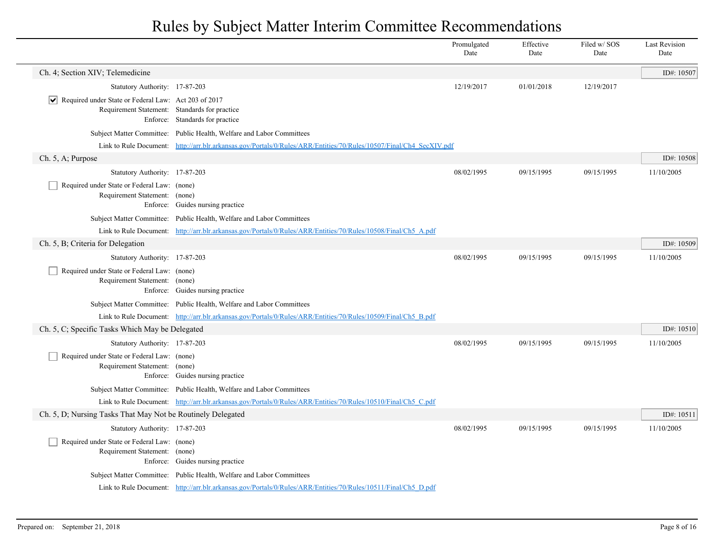|                                                                                                                      |                                                                                                                     | Promulgated<br>Date | Effective<br>Date | Filed w/ SOS<br>Date | <b>Last Revision</b><br>Date |
|----------------------------------------------------------------------------------------------------------------------|---------------------------------------------------------------------------------------------------------------------|---------------------|-------------------|----------------------|------------------------------|
| Ch. 4; Section XIV; Telemedicine                                                                                     |                                                                                                                     |                     |                   |                      | ID#: 10507                   |
| Statutory Authority: 17-87-203                                                                                       |                                                                                                                     | 12/19/2017          | 01/01/2018        | 12/19/2017           |                              |
| $ \mathbf{v} $ Required under State or Federal Law: Act 203 of 2017<br>Requirement Statement: Standards for practice | Enforce: Standards for practice                                                                                     |                     |                   |                      |                              |
|                                                                                                                      | Subject Matter Committee: Public Health, Welfare and Labor Committees                                               |                     |                   |                      |                              |
|                                                                                                                      | Link to Rule Document: http://arr.blr.arkansas.gov/Portals/0/Rules/ARR/Entities/70/Rules/10507/Final/Ch4 SecXIV.pdf |                     |                   |                      |                              |
| Ch. 5, A; Purpose                                                                                                    |                                                                                                                     |                     |                   |                      | ID#: 10508                   |
| Statutory Authority: 17-87-203                                                                                       |                                                                                                                     | 08/02/1995          | 09/15/1995        | 09/15/1995           | 11/10/2005                   |
| Required under State or Federal Law: (none)<br>Requirement Statement: (none)                                         | Enforce: Guides nursing practice                                                                                    |                     |                   |                      |                              |
|                                                                                                                      | Subject Matter Committee: Public Health, Welfare and Labor Committees                                               |                     |                   |                      |                              |
|                                                                                                                      | Link to Rule Document: http://arr.blr.arkansas.gov/Portals/0/Rules/ARR/Entities/70/Rules/10508/Final/Ch5 A.pdf      |                     |                   |                      |                              |
| Ch. 5, B; Criteria for Delegation                                                                                    |                                                                                                                     |                     |                   |                      | ID#: $10509$                 |
| Statutory Authority: 17-87-203                                                                                       |                                                                                                                     | 08/02/1995          | 09/15/1995        | 09/15/1995           | 11/10/2005                   |
| Required under State or Federal Law: (none)<br>Requirement Statement: (none)                                         | Enforce: Guides nursing practice                                                                                    |                     |                   |                      |                              |
|                                                                                                                      | Subject Matter Committee: Public Health, Welfare and Labor Committees                                               |                     |                   |                      |                              |
|                                                                                                                      | Link to Rule Document: http://arr.blr.arkansas.gov/Portals/0/Rules/ARR/Entities/70/Rules/10509/Final/Ch5 B.pdf      |                     |                   |                      |                              |
| Ch. 5, C; Specific Tasks Which May be Delegated                                                                      |                                                                                                                     |                     |                   |                      | ID#: $10510$                 |
| Statutory Authority: 17-87-203                                                                                       |                                                                                                                     | 08/02/1995          | 09/15/1995        | 09/15/1995           | 11/10/2005                   |
| Required under State or Federal Law: (none)<br>Requirement Statement: (none)                                         | Enforce: Guides nursing practice                                                                                    |                     |                   |                      |                              |
|                                                                                                                      | Subject Matter Committee: Public Health, Welfare and Labor Committees                                               |                     |                   |                      |                              |
|                                                                                                                      | Link to Rule Document: http://arr.blr.arkansas.gov/Portals/0/Rules/ARR/Entities/70/Rules/10510/Final/Ch5_C.pdf      |                     |                   |                      |                              |
| Ch. 5, D; Nursing Tasks That May Not be Routinely Delegated                                                          |                                                                                                                     |                     |                   |                      | ID#: 10511                   |
| Statutory Authority: 17-87-203                                                                                       |                                                                                                                     | 08/02/1995          | 09/15/1995        | 09/15/1995           | 11/10/2005                   |
| Required under State or Federal Law: (none)<br>Requirement Statement: (none)                                         | Enforce: Guides nursing practice                                                                                    |                     |                   |                      |                              |
|                                                                                                                      | Subject Matter Committee: Public Health, Welfare and Labor Committees                                               |                     |                   |                      |                              |
|                                                                                                                      | Link to Rule Document: http://arr.blr.arkansas.gov/Portals/0/Rules/ARR/Entities/70/Rules/10511/Final/Ch5_D.pdf      |                     |                   |                      |                              |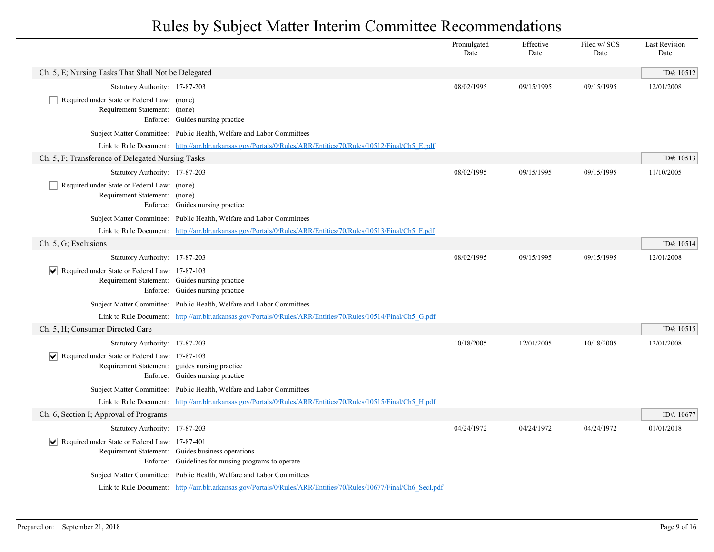|                                                                              |                                                                                                                   | Promulgated<br>Date | Effective<br>Date | Filed w/SOS<br>Date | <b>Last Revision</b><br>Date |
|------------------------------------------------------------------------------|-------------------------------------------------------------------------------------------------------------------|---------------------|-------------------|---------------------|------------------------------|
| Ch. 5, E; Nursing Tasks That Shall Not be Delegated                          |                                                                                                                   |                     |                   |                     | ID#: 10512                   |
| Statutory Authority: 17-87-203                                               |                                                                                                                   | 08/02/1995          | 09/15/1995        | 09/15/1995          | 12/01/2008                   |
| Required under State or Federal Law: (none)<br>Requirement Statement: (none) | Enforce: Guides nursing practice                                                                                  |                     |                   |                     |                              |
|                                                                              | Subject Matter Committee: Public Health, Welfare and Labor Committees                                             |                     |                   |                     |                              |
|                                                                              | Link to Rule Document: http://arr.blr.arkansas.gov/Portals/0/Rules/ARR/Entities/70/Rules/10512/Final/Ch5 E.pdf    |                     |                   |                     |                              |
| Ch. 5, F; Transference of Delegated Nursing Tasks                            |                                                                                                                   |                     |                   |                     | ID#: 10513                   |
| Statutory Authority: 17-87-203                                               |                                                                                                                   | 08/02/1995          | 09/15/1995        | 09/15/1995          | 11/10/2005                   |
| Required under State or Federal Law: (none)<br>Requirement Statement: (none) | Enforce: Guides nursing practice                                                                                  |                     |                   |                     |                              |
|                                                                              | Subject Matter Committee: Public Health, Welfare and Labor Committees                                             |                     |                   |                     |                              |
|                                                                              | Link to Rule Document: http://arr.blr.arkansas.gov/Portals/0/Rules/ARR/Entities/70/Rules/10513/Final/Ch5 F.pdf    |                     |                   |                     |                              |
| Ch. 5, G; Exclusions                                                         |                                                                                                                   |                     |                   |                     | ID#: 10514                   |
| Statutory Authority: 17-87-203                                               |                                                                                                                   | 08/02/1995          | 09/15/1995        | 09/15/1995          | 12/01/2008                   |
| $\boxed{\blacktriangledown}$ Required under State or Federal Law: 17-87-103  | Requirement Statement: Guides nursing practice<br>Enforce: Guides nursing practice                                |                     |                   |                     |                              |
|                                                                              | Subject Matter Committee: Public Health, Welfare and Labor Committees                                             |                     |                   |                     |                              |
|                                                                              | Link to Rule Document: http://arr.blr.arkansas.gov/Portals/0/Rules/ARR/Entities/70/Rules/10514/Final/Ch5 G.pdf    |                     |                   |                     |                              |
| Ch. 5, H; Consumer Directed Care                                             |                                                                                                                   |                     |                   |                     | ID#: 10515                   |
| Statutory Authority: 17-87-203                                               |                                                                                                                   | 10/18/2005          | 12/01/2005        | 10/18/2005          | 12/01/2008                   |
| $\boxed{\blacktriangledown}$ Required under State or Federal Law: 17-87-103  | Requirement Statement: guides nursing practice<br>Enforce: Guides nursing practice                                |                     |                   |                     |                              |
|                                                                              | Subject Matter Committee: Public Health, Welfare and Labor Committees                                             |                     |                   |                     |                              |
|                                                                              | Link to Rule Document: http://arr.blr.arkansas.gov/Portals/0/Rules/ARR/Entities/70/Rules/10515/Final/Ch5_H.pdf    |                     |                   |                     |                              |
| Ch. 6, Section I; Approval of Programs                                       |                                                                                                                   |                     |                   |                     | ID#: 10677                   |
| Statutory Authority: 17-87-203                                               |                                                                                                                   | 04/24/1972          | 04/24/1972        | 04/24/1972          | 01/01/2018                   |
| $ \mathbf{v} $ Required under State or Federal Law: 17-87-401                | Requirement Statement: Guides business operations<br>Enforce: Guidelines for nursing programs to operate          |                     |                   |                     |                              |
|                                                                              | Subject Matter Committee: Public Health, Welfare and Labor Committees                                             |                     |                   |                     |                              |
|                                                                              | Link to Rule Document: http://arr.blr.arkansas.gov/Portals/0/Rules/ARR/Entities/70/Rules/10677/Final/Ch6 SecI.pdf |                     |                   |                     |                              |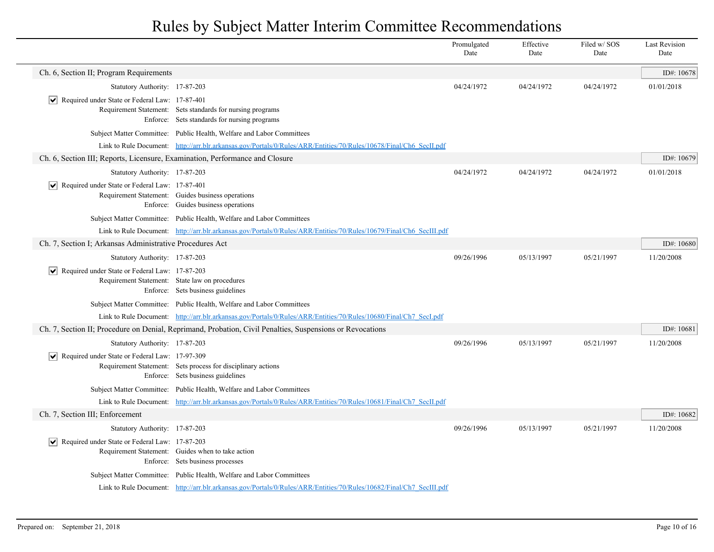|                                                                              |                                                                                                                     | Promulgated<br>Date | Effective<br>Date | Filed w/SOS<br>Date | <b>Last Revision</b><br>Date |
|------------------------------------------------------------------------------|---------------------------------------------------------------------------------------------------------------------|---------------------|-------------------|---------------------|------------------------------|
| Ch. 6, Section II; Program Requirements                                      |                                                                                                                     |                     |                   |                     | ID#: 10678                   |
| Statutory Authority: 17-87-203                                               |                                                                                                                     | 04/24/1972          | 04/24/1972        | 04/24/1972          | 01/01/2018                   |
| $ \vee $ Required under State or Federal Law: 17-87-401                      | Requirement Statement: Sets standards for nursing programs<br>Enforce: Sets standards for nursing programs          |                     |                   |                     |                              |
|                                                                              | Subject Matter Committee: Public Health, Welfare and Labor Committees                                               |                     |                   |                     |                              |
|                                                                              | Link to Rule Document: http://arr.blr.arkansas.gov/Portals/0/Rules/ARR/Entities/70/Rules/10678/Final/Ch6 SecILpdf   |                     |                   |                     |                              |
| Ch. 6, Section III; Reports, Licensure, Examination, Performance and Closure |                                                                                                                     |                     |                   |                     | ID#: 10679                   |
| Statutory Authority: 17-87-203                                               |                                                                                                                     | 04/24/1972          | 04/24/1972        | 04/24/1972          | 01/01/2018                   |
| $ \mathbf{v} $ Required under State or Federal Law: 17-87-401                | Requirement Statement: Guides business operations<br>Enforce: Guides business operations                            |                     |                   |                     |                              |
|                                                                              | Subject Matter Committee: Public Health, Welfare and Labor Committees                                               |                     |                   |                     |                              |
|                                                                              | Link to Rule Document: http://arr.blr.arkansas.gov/Portals/0/Rules/ARR/Entities/70/Rules/10679/Final/Ch6 SecIII.pdf |                     |                   |                     |                              |
| Ch. 7, Section I; Arkansas Administrative Procedures Act                     |                                                                                                                     |                     |                   |                     | ID#: 10680                   |
| Statutory Authority: 17-87-203                                               |                                                                                                                     | 09/26/1996          | 05/13/1997        | 05/21/1997          | 11/20/2008                   |
| $ \mathbf{v} $ Required under State or Federal Law: 17-87-203                | Requirement Statement: State law on procedures<br>Enforce: Sets business guidelines                                 |                     |                   |                     |                              |
|                                                                              | Subject Matter Committee: Public Health, Welfare and Labor Committees                                               |                     |                   |                     |                              |
|                                                                              | Link to Rule Document: http://arr.blr.arkansas.gov/Portals/0/Rules/ARR/Entities/70/Rules/10680/Final/Ch7 SecI.pdf   |                     |                   |                     |                              |
|                                                                              | Ch. 7, Section II; Procedure on Denial, Reprimand, Probation, Civil Penalties, Suspensions or Revocations           |                     |                   |                     | ID#: 10681                   |
| Statutory Authority: 17-87-203                                               |                                                                                                                     | 09/26/1996          | 05/13/1997        | 05/21/1997          | 11/20/2008                   |
| $ \mathbf{v} $ Required under State or Federal Law: 17-97-309                | Requirement Statement: Sets process for disciplinary actions<br>Enforce: Sets business guidelines                   |                     |                   |                     |                              |
|                                                                              | Subject Matter Committee: Public Health, Welfare and Labor Committees                                               |                     |                   |                     |                              |
|                                                                              | Link to Rule Document: http://arr.blr.arkansas.gov/Portals/0/Rules/ARR/Entities/70/Rules/10681/Final/Ch7 SecIL.pdf  |                     |                   |                     |                              |
| Ch. 7, Section III; Enforcement                                              |                                                                                                                     |                     |                   |                     | ID#: 10682                   |
| Statutory Authority: 17-87-203                                               |                                                                                                                     | 09/26/1996          | 05/13/1997        | 05/21/1997          | 11/20/2008                   |
| $ \mathbf{v} $ Required under State or Federal Law: 17-87-203                | Requirement Statement: Guides when to take action<br>Enforce: Sets business processes                               |                     |                   |                     |                              |
|                                                                              | Subject Matter Committee: Public Health, Welfare and Labor Committees                                               |                     |                   |                     |                              |
|                                                                              | Link to Rule Document: http://arr.blr.arkansas.gov/Portals/0/Rules/ARR/Entities/70/Rules/10682/Final/Ch7 SecIII.pdf |                     |                   |                     |                              |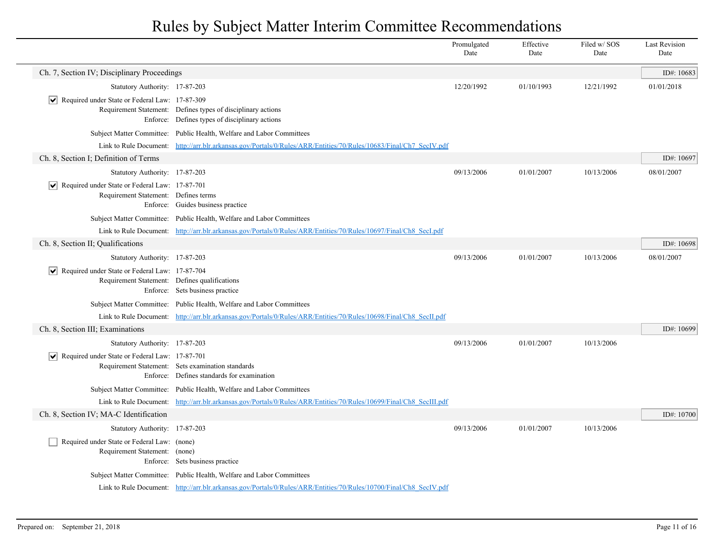|                                                                                                       |                                                                                                                     | Promulgated<br>Date | Effective<br>Date | Filed w/ SOS<br>Date | <b>Last Revision</b><br>Date |
|-------------------------------------------------------------------------------------------------------|---------------------------------------------------------------------------------------------------------------------|---------------------|-------------------|----------------------|------------------------------|
| Ch. 7, Section IV; Disciplinary Proceedings                                                           |                                                                                                                     |                     |                   |                      | ID#: 10683                   |
| Statutory Authority: 17-87-203                                                                        |                                                                                                                     | 12/20/1992          | 01/10/1993        | 12/21/1992           | 01/01/2018                   |
| $ \mathbf{v} $ Required under State or Federal Law: 17-87-309                                         | Requirement Statement: Defines types of disciplinary actions<br>Enforce: Defines types of disciplinary actions      |                     |                   |                      |                              |
|                                                                                                       | Subject Matter Committee: Public Health, Welfare and Labor Committees                                               |                     |                   |                      |                              |
|                                                                                                       | Link to Rule Document: http://arr.blr.arkansas.gov/Portals/0/Rules/ARR/Entities/70/Rules/10683/Final/Ch7 SecIV.pdf  |                     |                   |                      |                              |
| Ch. 8, Section I; Definition of Terms                                                                 |                                                                                                                     |                     |                   |                      | ID#: 10697                   |
| Statutory Authority: 17-87-203                                                                        |                                                                                                                     | 09/13/2006          | 01/01/2007        | 10/13/2006           | 08/01/2007                   |
| $ \mathbf{v} $ Required under State or Federal Law: 17-87-701<br>Requirement Statement: Defines terms | Enforce: Guides business practice                                                                                   |                     |                   |                      |                              |
|                                                                                                       | Subject Matter Committee: Public Health, Welfare and Labor Committees                                               |                     |                   |                      |                              |
|                                                                                                       | Link to Rule Document: http://arr.blr.arkansas.gov/Portals/0/Rules/ARR/Entities/70/Rules/10697/Final/Ch8 Sec1.pdf   |                     |                   |                      |                              |
| Ch. 8, Section II; Qualifications                                                                     |                                                                                                                     |                     |                   |                      | ID#: 10698                   |
| Statutory Authority: 17-87-203                                                                        |                                                                                                                     | 09/13/2006          | 01/01/2007        | 10/13/2006           | 08/01/2007                   |
| Required under State or Federal Law: 17-87-704<br>Requirement Statement: Defines qualifications       | Enforce: Sets business practice                                                                                     |                     |                   |                      |                              |
|                                                                                                       | Subject Matter Committee: Public Health, Welfare and Labor Committees                                               |                     |                   |                      |                              |
|                                                                                                       | Link to Rule Document: http://arr.blr.arkansas.gov/Portals/0/Rules/ARR/Entities/70/Rules/10698/Final/Ch8 SecIL.pdf  |                     |                   |                      |                              |
| Ch. 8, Section III; Examinations                                                                      |                                                                                                                     |                     |                   |                      | ID#: 10699                   |
| Statutory Authority: 17-87-203                                                                        |                                                                                                                     | 09/13/2006          | 01/01/2007        | 10/13/2006           |                              |
| $ \mathbf{v} $ Required under State or Federal Law: 17-87-701                                         | Requirement Statement: Sets examination standards<br>Enforce: Defines standards for examination                     |                     |                   |                      |                              |
|                                                                                                       | Subject Matter Committee: Public Health, Welfare and Labor Committees                                               |                     |                   |                      |                              |
|                                                                                                       | Link to Rule Document: http://arr.blr.arkansas.gov/Portals/0/Rules/ARR/Entities/70/Rules/10699/Final/Ch8 SecIII.pdf |                     |                   |                      |                              |
| Ch. 8, Section IV; MA-C Identification                                                                |                                                                                                                     |                     |                   |                      | ID#: 10700                   |
| Statutory Authority: 17-87-203                                                                        |                                                                                                                     | 09/13/2006          | 01/01/2007        | 10/13/2006           |                              |
| Required under State or Federal Law: (none)<br>Requirement Statement: (none)                          | Enforce: Sets business practice                                                                                     |                     |                   |                      |                              |
|                                                                                                       | Subject Matter Committee: Public Health, Welfare and Labor Committees                                               |                     |                   |                      |                              |
|                                                                                                       | Link to Rule Document: http://arr.blr.arkansas.gov/Portals/0/Rules/ARR/Entities/70/Rules/10700/Final/Ch8 SecIV.pdf  |                     |                   |                      |                              |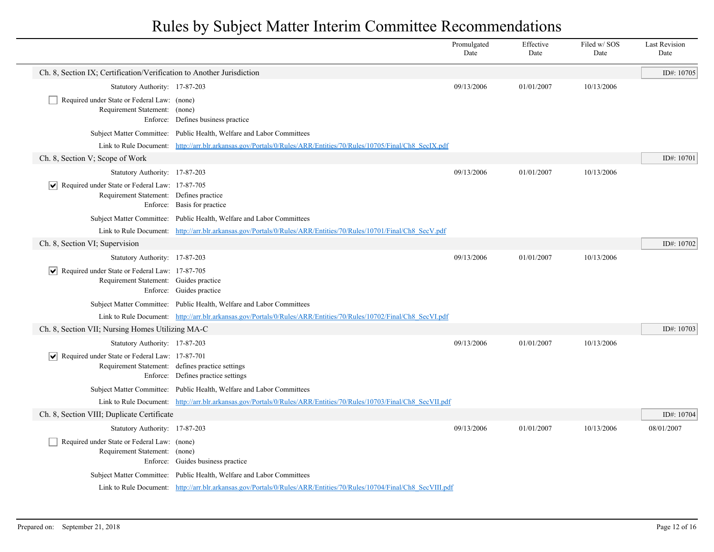|                                                                                                                |                                                                                                                      | Promulgated<br>Date | Effective<br>Date | Filed w/SOS<br>Date | <b>Last Revision</b><br>Date |
|----------------------------------------------------------------------------------------------------------------|----------------------------------------------------------------------------------------------------------------------|---------------------|-------------------|---------------------|------------------------------|
| Ch. 8, Section IX; Certification/Verification to Another Jurisdiction                                          |                                                                                                                      |                     |                   |                     | ID#: 10705                   |
| Statutory Authority: 17-87-203                                                                                 |                                                                                                                      | 09/13/2006          | 01/01/2007        | 10/13/2006          |                              |
| Required under State or Federal Law: (none)<br>Requirement Statement: (none)                                   | Enforce: Defines business practice                                                                                   |                     |                   |                     |                              |
|                                                                                                                | Subject Matter Committee: Public Health, Welfare and Labor Committees                                                |                     |                   |                     |                              |
|                                                                                                                | Link to Rule Document: http://arr.blr.arkansas.gov/Portals/0/Rules/ARR/Entities/70/Rules/10705/Final/Ch8 SecIX.pdf   |                     |                   |                     |                              |
| Ch. 8, Section V; Scope of Work                                                                                |                                                                                                                      |                     |                   |                     | ID#: 10701                   |
| Statutory Authority: 17-87-203                                                                                 |                                                                                                                      | 09/13/2006          | 01/01/2007        | 10/13/2006          |                              |
| Required under State or Federal Law: 17-87-705<br>∣V∣<br>Requirement Statement: Defines practice               | Enforce: Basis for practice                                                                                          |                     |                   |                     |                              |
|                                                                                                                | Subject Matter Committee: Public Health, Welfare and Labor Committees                                                |                     |                   |                     |                              |
|                                                                                                                | Link to Rule Document: http://arr.blr.arkansas.gov/Portals/0/Rules/ARR/Entities/70/Rules/10701/Final/Ch8 SecV.pdf    |                     |                   |                     |                              |
| Ch. 8, Section VI; Supervision                                                                                 |                                                                                                                      |                     |                   |                     | ID#: 10702                   |
| Statutory Authority: 17-87-203                                                                                 |                                                                                                                      | 09/13/2006          | 01/01/2007        | 10/13/2006          |                              |
| $ \overline{\smile} $ Required under State or Federal Law: 17-87-705<br>Requirement Statement: Guides practice | Enforce: Guides practice                                                                                             |                     |                   |                     |                              |
|                                                                                                                | Subject Matter Committee: Public Health, Welfare and Labor Committees                                                |                     |                   |                     |                              |
|                                                                                                                | Link to Rule Document: http://arr.blr.arkansas.gov/Portals/0/Rules/ARR/Entities/70/Rules/10702/Final/Ch8 SecVLpdf    |                     |                   |                     |                              |
| Ch. 8, Section VII; Nursing Homes Utilizing MA-C                                                               |                                                                                                                      |                     |                   |                     | ID#: 10703                   |
| Statutory Authority: 17-87-203                                                                                 |                                                                                                                      | 09/13/2006          | 01/01/2007        | 10/13/2006          |                              |
| $ \mathbf{v} $ Required under State or Federal Law: 17-87-701                                                  | Requirement Statement: defines practice settings<br>Enforce: Defines practice settings                               |                     |                   |                     |                              |
|                                                                                                                | Subject Matter Committee: Public Health, Welfare and Labor Committees                                                |                     |                   |                     |                              |
|                                                                                                                | Link to Rule Document: http://arr.blr.arkansas.gov/Portals/0/Rules/ARR/Entities/70/Rules/10703/Final/Ch8 SecVII.pdf  |                     |                   |                     |                              |
| Ch. 8, Section VIII; Duplicate Certificate                                                                     |                                                                                                                      |                     |                   |                     | ID#: 10704                   |
| Statutory Authority: 17-87-203                                                                                 |                                                                                                                      | 09/13/2006          | 01/01/2007        | 10/13/2006          | 08/01/2007                   |
| Required under State or Federal Law: (none)<br>Requirement Statement: (none)                                   | Enforce: Guides business practice                                                                                    |                     |                   |                     |                              |
|                                                                                                                | Subject Matter Committee: Public Health, Welfare and Labor Committees                                                |                     |                   |                     |                              |
|                                                                                                                | Link to Rule Document: http://arr.blr.arkansas.gov/Portals/0/Rules/ARR/Entities/70/Rules/10704/Final/Ch8 SecVIII.pdf |                     |                   |                     |                              |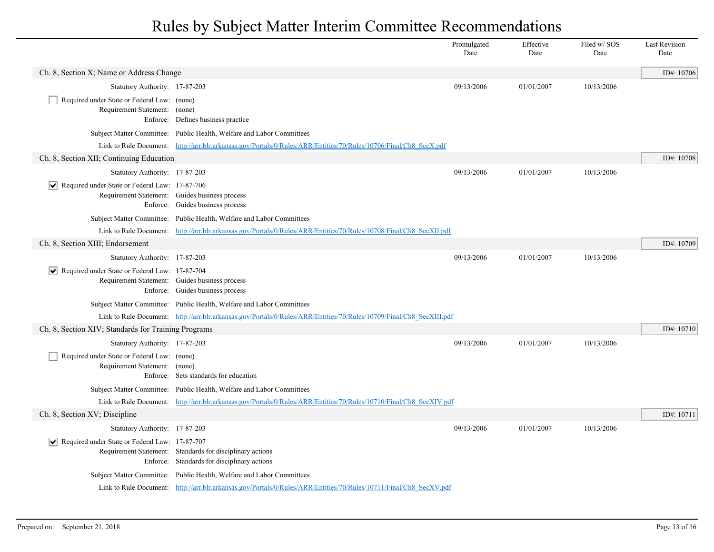|                                                                              |                                                                                                                      | Promulgated<br>Date | Effective<br>Date | Filed w/ SOS<br>Date | <b>Last Revision</b><br>Date |
|------------------------------------------------------------------------------|----------------------------------------------------------------------------------------------------------------------|---------------------|-------------------|----------------------|------------------------------|
| Ch. 8, Section X; Name or Address Change                                     |                                                                                                                      |                     |                   |                      | ID#: 10706                   |
| Statutory Authority: 17-87-203                                               |                                                                                                                      | 09/13/2006          | 01/01/2007        | 10/13/2006           |                              |
| Required under State or Federal Law: (none)<br>Requirement Statement: (none) | Enforce: Defines business practice                                                                                   |                     |                   |                      |                              |
|                                                                              | Subject Matter Committee: Public Health, Welfare and Labor Committees                                                |                     |                   |                      |                              |
|                                                                              | Link to Rule Document: http://arr.blr.arkansas.gov/Portals/0/Rules/ARR/Entities/70/Rules/10706/Final/Ch8 SecX.pdf    |                     |                   |                      |                              |
| Ch. 8, Section XII; Continuing Education                                     |                                                                                                                      |                     |                   |                      | ID#: 10708                   |
| Statutory Authority: 17-87-203                                               |                                                                                                                      | 09/13/2006          | 01/01/2007        | 10/13/2006           |                              |
| $\triangleright$ Required under State or Federal Law: 17-87-706              | Requirement Statement: Guides business process<br>Enforce: Guides business process                                   |                     |                   |                      |                              |
|                                                                              | Subject Matter Committee: Public Health, Welfare and Labor Committees                                                |                     |                   |                      |                              |
|                                                                              | Link to Rule Document: http://arr.blr.arkansas.gov/Portals/0/Rules/ARR/Entities/70/Rules/10708/Final/Ch8 SecXII.pdf  |                     |                   |                      |                              |
| Ch. 8, Section XIII; Endorsement                                             |                                                                                                                      |                     |                   |                      | ID#: 10709                   |
| Statutory Authority: 17-87-203                                               |                                                                                                                      | 09/13/2006          | 01/01/2007        | 10/13/2006           |                              |
| $\boxed{\blacktriangledown}$ Required under State or Federal Law: 17-87-704  | Requirement Statement: Guides business process<br>Enforce: Guides business process                                   |                     |                   |                      |                              |
|                                                                              | Subject Matter Committee: Public Health, Welfare and Labor Committees                                                |                     |                   |                      |                              |
|                                                                              | Link to Rule Document: http://arr.blr.arkansas.gov/Portals/0/Rules/ARR/Entities/70/Rules/10709/Final/Ch8 SecXIII.pdf |                     |                   |                      |                              |
| Ch. 8, Section XIV; Standards for Training Programs                          |                                                                                                                      |                     |                   |                      | ID#: 10710                   |
| Statutory Authority: 17-87-203                                               |                                                                                                                      | 09/13/2006          | 01/01/2007        | 10/13/2006           |                              |
| Required under State or Federal Law: (none)<br>Requirement Statement: (none) | Enforce: Sets standards for education                                                                                |                     |                   |                      |                              |
|                                                                              | Subject Matter Committee: Public Health, Welfare and Labor Committees                                                |                     |                   |                      |                              |
|                                                                              | Link to Rule Document: http://arr.blr.arkansas.gov/Portals/0/Rules/ARR/Entities/70/Rules/10710/Final/Ch8 SecXIV.pdf  |                     |                   |                      |                              |
| Ch. 8, Section XV; Discipline                                                |                                                                                                                      |                     |                   |                      | ID#: 10711                   |
| Statutory Authority: 17-87-203                                               |                                                                                                                      | 09/13/2006          | 01/01/2007        | 10/13/2006           |                              |
| $ \mathbf{v} $ Required under State or Federal Law: 17-87-707                | Requirement Statement: Standards for disciplinary actions<br>Enforce: Standards for disciplinary actions             |                     |                   |                      |                              |
|                                                                              | Subject Matter Committee: Public Health, Welfare and Labor Committees                                                |                     |                   |                      |                              |
|                                                                              | Link to Rule Document: http://arr.blr.arkansas.gov/Portals/0/Rules/ARR/Entities/70/Rules/10711/Final/Ch8 SecXV.pdf   |                     |                   |                      |                              |
|                                                                              |                                                                                                                      |                     |                   |                      |                              |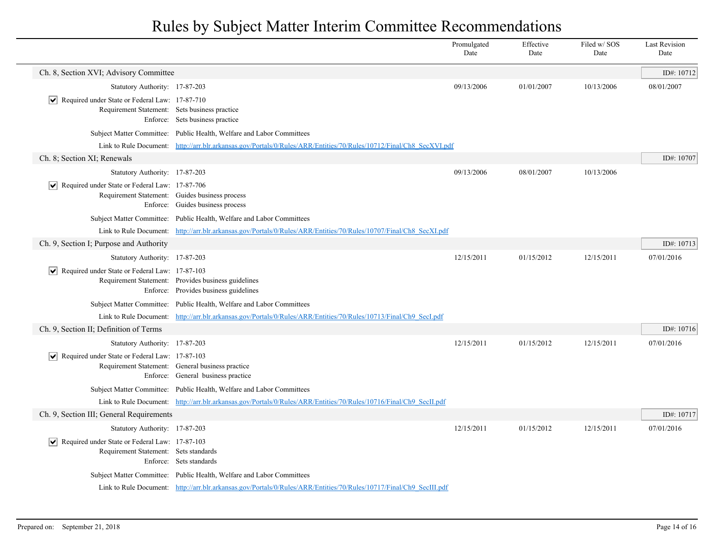|                                                                                                                        |                                                                                                                     | Promulgated<br>Date | Effective<br>Date | Filed w/SOS<br>Date | <b>Last Revision</b><br>Date |
|------------------------------------------------------------------------------------------------------------------------|---------------------------------------------------------------------------------------------------------------------|---------------------|-------------------|---------------------|------------------------------|
| Ch. 8, Section XVI; Advisory Committee                                                                                 |                                                                                                                     |                     |                   |                     | ID#: 10712                   |
| Statutory Authority: 17-87-203                                                                                         |                                                                                                                     | 09/13/2006          | 01/01/2007        | 10/13/2006          | 08/01/2007                   |
| Required under State or Federal Law: 17-87-710<br>$ \bm{\mathsf{v}} $<br>Requirement Statement: Sets business practice | Enforce: Sets business practice                                                                                     |                     |                   |                     |                              |
|                                                                                                                        | Subject Matter Committee: Public Health, Welfare and Labor Committees                                               |                     |                   |                     |                              |
|                                                                                                                        | Link to Rule Document: http://arr.blr.arkansas.gov/Portals/0/Rules/ARR/Entities/70/Rules/10712/Final/Ch8 SecXVI.pdf |                     |                   |                     |                              |
| Ch. 8; Section XI; Renewals                                                                                            |                                                                                                                     |                     |                   |                     | ID#: 10707                   |
| Statutory Authority: 17-87-203                                                                                         |                                                                                                                     | 09/13/2006          | 08/01/2007        | 10/13/2006          |                              |
| Required under State or Federal Law: 17-87-706                                                                         | Requirement Statement: Guides business process<br>Enforce: Guides business process                                  |                     |                   |                     |                              |
|                                                                                                                        | Subject Matter Committee: Public Health, Welfare and Labor Committees                                               |                     |                   |                     |                              |
|                                                                                                                        | Link to Rule Document: http://arr.blr.arkansas.gov/Portals/0/Rules/ARR/Entities/70/Rules/10707/Final/Ch8 SecXLpdf   |                     |                   |                     |                              |
| Ch. 9, Section I; Purpose and Authority                                                                                |                                                                                                                     |                     |                   |                     | ID#: 10713                   |
| Statutory Authority: 17-87-203                                                                                         |                                                                                                                     | 12/15/2011          | 01/15/2012        | 12/15/2011          | 07/01/2016                   |
| $ \mathbf{v} $ Required under State or Federal Law: 17-87-103                                                          | Requirement Statement: Provides business guidelines<br>Enforce: Provides business guidelines                        |                     |                   |                     |                              |
|                                                                                                                        | Subject Matter Committee: Public Health, Welfare and Labor Committees                                               |                     |                   |                     |                              |
|                                                                                                                        | Link to Rule Document: http://arr.blr.arkansas.gov/Portals/0/Rules/ARR/Entities/70/Rules/10713/Final/Ch9 SecI.pdf   |                     |                   |                     |                              |
| Ch. 9, Section II; Definition of Terms                                                                                 |                                                                                                                     |                     |                   |                     | ID#: 10716                   |
| Statutory Authority: 17-87-203                                                                                         |                                                                                                                     | 12/15/2011          | 01/15/2012        | 12/15/2011          | 07/01/2016                   |
| $\triangleright$ Required under State or Federal Law: 17-87-103                                                        | Requirement Statement: General business practice<br>Enforce: General business practice                              |                     |                   |                     |                              |
|                                                                                                                        | Subject Matter Committee: Public Health, Welfare and Labor Committees                                               |                     |                   |                     |                              |
|                                                                                                                        | Link to Rule Document: http://arr.blr.arkansas.gov/Portals/0/Rules/ARR/Entities/70/Rules/10716/Final/Ch9 SecIL.pdf  |                     |                   |                     |                              |
| Ch. 9, Section III; General Requirements                                                                               |                                                                                                                     |                     |                   |                     | ID#: 10717                   |
| Statutory Authority: 17-87-203                                                                                         |                                                                                                                     | 12/15/2011          | 01/15/2012        | 12/15/2011          | 07/01/2016                   |
| Required under State or Federal Law: 17-87-103<br>Requirement Statement: Sets standards                                | Enforce: Sets standards                                                                                             |                     |                   |                     |                              |
|                                                                                                                        | Subject Matter Committee: Public Health, Welfare and Labor Committees                                               |                     |                   |                     |                              |
|                                                                                                                        | Link to Rule Document: http://arr.blr.arkansas.gov/Portals/0/Rules/ARR/Entities/70/Rules/10717/Final/Ch9 SecIII.pdf |                     |                   |                     |                              |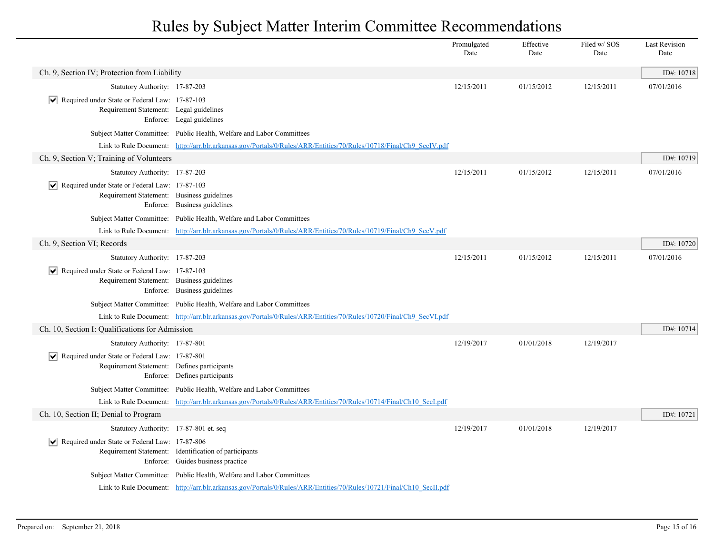|                                                                                                               |                                                                                                                    | Promulgated<br>Date | Effective<br>Date | Filed w/SOS<br>Date | <b>Last Revision</b><br>Date |
|---------------------------------------------------------------------------------------------------------------|--------------------------------------------------------------------------------------------------------------------|---------------------|-------------------|---------------------|------------------------------|
| Ch. 9, Section IV; Protection from Liability                                                                  |                                                                                                                    |                     |                   |                     | ID#: 10718                   |
| Statutory Authority: 17-87-203                                                                                |                                                                                                                    | 12/15/2011          | 01/15/2012        | 12/15/2011          | 07/01/2016                   |
| $ \mathbf{v} $ Required under State or Federal Law: 17-87-103<br>Requirement Statement: Legal guidelines      | Enforce: Legal guidelines                                                                                          |                     |                   |                     |                              |
|                                                                                                               | Subject Matter Committee: Public Health, Welfare and Labor Committees                                              |                     |                   |                     |                              |
|                                                                                                               | Link to Rule Document: http://arr.blr.arkansas.gov/Portals/0/Rules/ARR/Entities/70/Rules/10718/Final/Ch9_SecIV.pdf |                     |                   |                     |                              |
| Ch. 9, Section V; Training of Volunteers                                                                      |                                                                                                                    |                     |                   |                     | ID#: 10719                   |
| Statutory Authority: 17-87-203                                                                                |                                                                                                                    | 12/15/2011          | 01/15/2012        | 12/15/2011          | 07/01/2016                   |
| $ \mathbf{v} $ Required under State or Federal Law: 17-87-103<br>Requirement Statement: Business guidelines   | Enforce: Business guidelines                                                                                       |                     |                   |                     |                              |
|                                                                                                               | Subject Matter Committee: Public Health, Welfare and Labor Committees                                              |                     |                   |                     |                              |
|                                                                                                               | Link to Rule Document: http://arr.blr.arkansas.gov/Portals/0/Rules/ARR/Entities/70/Rules/10719/Final/Ch9_SecV.pdf  |                     |                   |                     |                              |
| Ch. 9, Section VI; Records                                                                                    |                                                                                                                    |                     |                   |                     | ID#: 10720                   |
| Statutory Authority: 17-87-203                                                                                |                                                                                                                    | 12/15/2011          | 01/15/2012        | 12/15/2011          | 07/01/2016                   |
| Required under State or Federal Law: 17-87-103<br>Requirement Statement: Business guidelines                  | Enforce: Business guidelines                                                                                       |                     |                   |                     |                              |
|                                                                                                               | Subject Matter Committee: Public Health, Welfare and Labor Committees                                              |                     |                   |                     |                              |
|                                                                                                               | Link to Rule Document: http://arr.blr.arkansas.gov/Portals/0/Rules/ARR/Entities/70/Rules/10720/Final/Ch9 SecVLpdf  |                     |                   |                     |                              |
| Ch. 10, Section I: Qualifications for Admission                                                               |                                                                                                                    |                     |                   |                     | ID#: 10714                   |
| Statutory Authority: 17-87-801                                                                                |                                                                                                                    | 12/19/2017          | 01/01/2018        | 12/19/2017          |                              |
| $\triangledown$ Required under State or Federal Law: 17-87-801<br>Requirement Statement: Defines participants | Enforce: Defines participants                                                                                      |                     |                   |                     |                              |
| <b>Subject Matter Committee:</b>                                                                              | Public Health, Welfare and Labor Committees                                                                        |                     |                   |                     |                              |
| Link to Rule Document:                                                                                        | http://arr.blr.arkansas.gov/Portals/0/Rules/ARR/Entities/70/Rules/10714/Final/Ch10 SecI.pdf                        |                     |                   |                     |                              |
| Ch. 10, Section II; Denial to Program                                                                         |                                                                                                                    |                     |                   |                     | ID#: 10721                   |
| Statutory Authority: 17-87-801 et. seq                                                                        |                                                                                                                    | 12/19/2017          | 01/01/2018        | 12/19/2017          |                              |
| Required under State or Federal Law: 17-87-806<br>$ \bm{\mathsf{v}} $                                         | Requirement Statement: Identification of participants<br>Enforce: Guides business practice                         |                     |                   |                     |                              |
|                                                                                                               | Subject Matter Committee: Public Health, Welfare and Labor Committees                                              |                     |                   |                     |                              |
|                                                                                                               | Link to Rule Document: http://arr.blr.arkansas.gov/Portals/0/Rules/ARR/Entities/70/Rules/10721/Final/Ch10 SecILpdf |                     |                   |                     |                              |